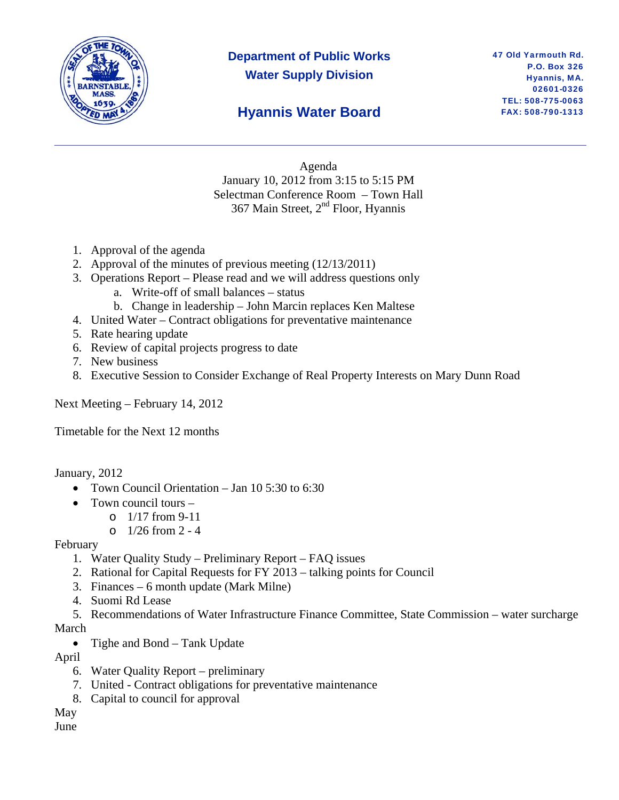

# **Department of Public Works Water Supply Division**

#### 47 Old Yarmouth Rd. P.O. Box 326 Hyannis, MA. 02601-0326 TEL: 508-775-0063 FAX: 508-790-1313

# **Hyannis Water Board**

Agenda January 10, 2012 from 3:15 to 5:15 PM Selectman Conference Room – Town Hall 367 Main Street, 2nd Floor, Hyannis

- 1. Approval of the agenda
- 2. Approval of the minutes of previous meeting (12/13/2011)
- 3. Operations Report Please read and we will address questions only
	- a. Write-off of small balances status
	- b. Change in leadership John Marcin replaces Ken Maltese
- 4. United Water Contract obligations for preventative maintenance
- 5. Rate hearing update
- 6. Review of capital projects progress to date
- 7. New business
- 8. Executive Session to Consider Exchange of Real Property Interests on Mary Dunn Road

Next Meeting – February 14, 2012

Timetable for the Next 12 months

January, 2012

- Town Council Orientation Jan 10 5:30 to 6:30
- Town council tours  $$ 
	- o 1/17 from 9-11
	- $\circ$  1/26 from 2 4

February

- 1. Water Quality Study Preliminary Report FAQ issues
- 2. Rational for Capital Requests for FY 2013 talking points for Council
- 3. Finances 6 month update (Mark Milne)
- 4. Suomi Rd Lease
- 5. Recommendations of Water Infrastructure Finance Committee, State Commission water surcharge March
	- Tighe and Bond Tank Update

April

- 6. Water Quality Report preliminary
- 7. United Contract obligations for preventative maintenance
- 8. Capital to council for approval

May June